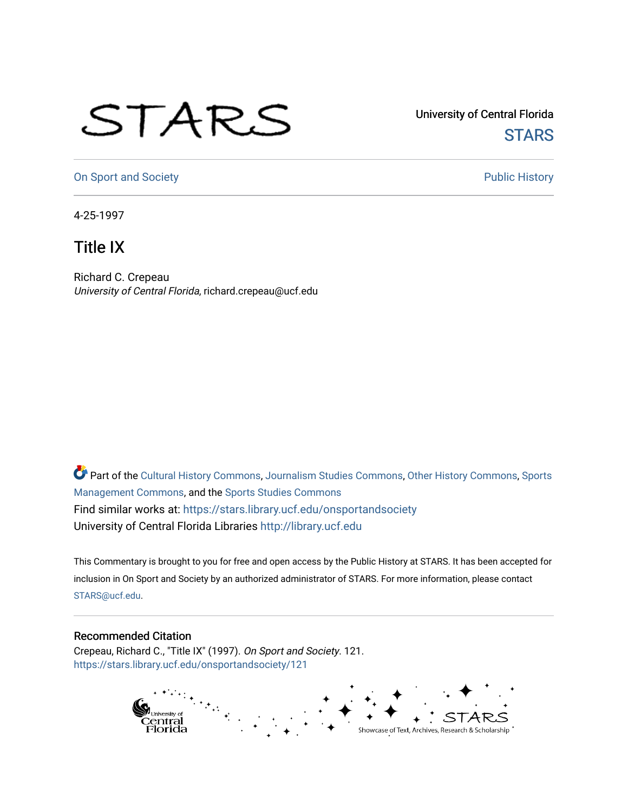## STARS

University of Central Florida **STARS** 

[On Sport and Society](https://stars.library.ucf.edu/onsportandsociety) **Public History** Public History

4-25-1997

## Title IX

Richard C. Crepeau University of Central Florida, richard.crepeau@ucf.edu

Part of the [Cultural History Commons](http://network.bepress.com/hgg/discipline/496?utm_source=stars.library.ucf.edu%2Fonsportandsociety%2F121&utm_medium=PDF&utm_campaign=PDFCoverPages), [Journalism Studies Commons,](http://network.bepress.com/hgg/discipline/333?utm_source=stars.library.ucf.edu%2Fonsportandsociety%2F121&utm_medium=PDF&utm_campaign=PDFCoverPages) [Other History Commons,](http://network.bepress.com/hgg/discipline/508?utm_source=stars.library.ucf.edu%2Fonsportandsociety%2F121&utm_medium=PDF&utm_campaign=PDFCoverPages) [Sports](http://network.bepress.com/hgg/discipline/1193?utm_source=stars.library.ucf.edu%2Fonsportandsociety%2F121&utm_medium=PDF&utm_campaign=PDFCoverPages) [Management Commons](http://network.bepress.com/hgg/discipline/1193?utm_source=stars.library.ucf.edu%2Fonsportandsociety%2F121&utm_medium=PDF&utm_campaign=PDFCoverPages), and the [Sports Studies Commons](http://network.bepress.com/hgg/discipline/1198?utm_source=stars.library.ucf.edu%2Fonsportandsociety%2F121&utm_medium=PDF&utm_campaign=PDFCoverPages) Find similar works at: <https://stars.library.ucf.edu/onsportandsociety> University of Central Florida Libraries [http://library.ucf.edu](http://library.ucf.edu/) 

This Commentary is brought to you for free and open access by the Public History at STARS. It has been accepted for inclusion in On Sport and Society by an authorized administrator of STARS. For more information, please contact [STARS@ucf.edu](mailto:STARS@ucf.edu).

## Recommended Citation

Crepeau, Richard C., "Title IX" (1997). On Sport and Society. 121. [https://stars.library.ucf.edu/onsportandsociety/121](https://stars.library.ucf.edu/onsportandsociety/121?utm_source=stars.library.ucf.edu%2Fonsportandsociety%2F121&utm_medium=PDF&utm_campaign=PDFCoverPages)

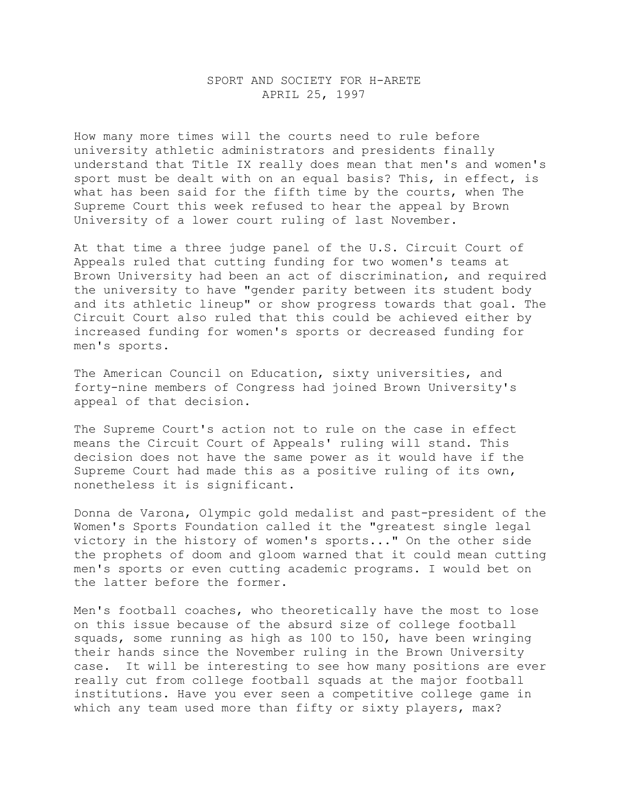## SPORT AND SOCIETY FOR H-ARETE APRIL 25, 1997

How many more times will the courts need to rule before university athletic administrators and presidents finally understand that Title IX really does mean that men's and women's sport must be dealt with on an equal basis? This, in effect, is what has been said for the fifth time by the courts, when The Supreme Court this week refused to hear the appeal by Brown University of a lower court ruling of last November.

At that time a three judge panel of the U.S. Circuit Court of Appeals ruled that cutting funding for two women's teams at Brown University had been an act of discrimination, and required the university to have "gender parity between its student body and its athletic lineup" or show progress towards that goal. The Circuit Court also ruled that this could be achieved either by increased funding for women's sports or decreased funding for men's sports.

The American Council on Education, sixty universities, and forty-nine members of Congress had joined Brown University's appeal of that decision.

The Supreme Court's action not to rule on the case in effect means the Circuit Court of Appeals' ruling will stand. This decision does not have the same power as it would have if the Supreme Court had made this as a positive ruling of its own, nonetheless it is significant.

Donna de Varona, Olympic gold medalist and past-president of the Women's Sports Foundation called it the "greatest single legal victory in the history of women's sports..." On the other side the prophets of doom and gloom warned that it could mean cutting men's sports or even cutting academic programs. I would bet on the latter before the former.

Men's football coaches, who theoretically have the most to lose on this issue because of the absurd size of college football squads, some running as high as 100 to 150, have been wringing their hands since the November ruling in the Brown University case. It will be interesting to see how many positions are ever really cut from college football squads at the major football institutions. Have you ever seen a competitive college game in which any team used more than fifty or sixty players, max?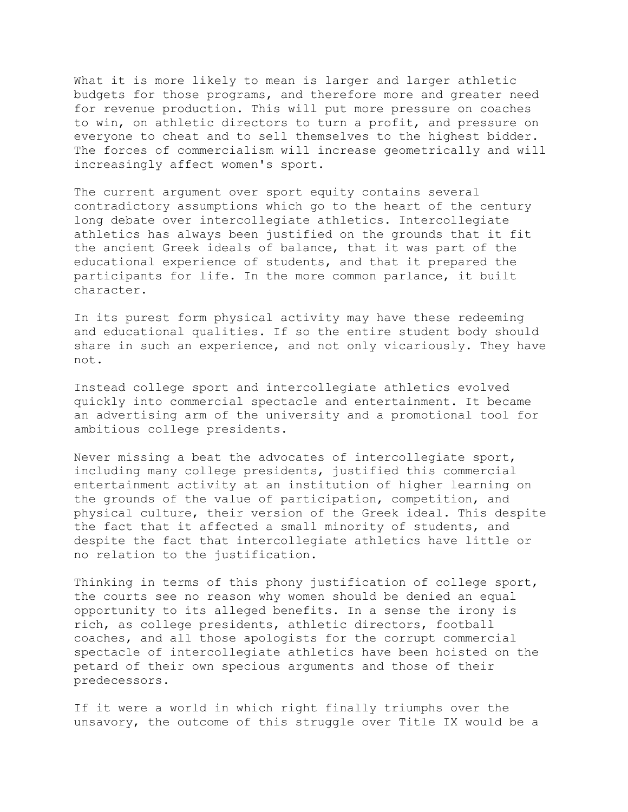What it is more likely to mean is larger and larger athletic budgets for those programs, and therefore more and greater need for revenue production. This will put more pressure on coaches to win, on athletic directors to turn a profit, and pressure on everyone to cheat and to sell themselves to the highest bidder. The forces of commercialism will increase geometrically and will increasingly affect women's sport.

The current argument over sport equity contains several contradictory assumptions which go to the heart of the century long debate over intercollegiate athletics. Intercollegiate athletics has always been justified on the grounds that it fit the ancient Greek ideals of balance, that it was part of the educational experience of students, and that it prepared the participants for life. In the more common parlance, it built character.

In its purest form physical activity may have these redeeming and educational qualities. If so the entire student body should share in such an experience, and not only vicariously. They have not.

Instead college sport and intercollegiate athletics evolved quickly into commercial spectacle and entertainment. It became an advertising arm of the university and a promotional tool for ambitious college presidents.

Never missing a beat the advocates of intercollegiate sport, including many college presidents, justified this commercial entertainment activity at an institution of higher learning on the grounds of the value of participation, competition, and physical culture, their version of the Greek ideal. This despite the fact that it affected a small minority of students, and despite the fact that intercollegiate athletics have little or no relation to the justification.

Thinking in terms of this phony justification of college sport, the courts see no reason why women should be denied an equal opportunity to its alleged benefits. In a sense the irony is rich, as college presidents, athletic directors, football coaches, and all those apologists for the corrupt commercial spectacle of intercollegiate athletics have been hoisted on the petard of their own specious arguments and those of their predecessors.

If it were a world in which right finally triumphs over the unsavory, the outcome of this struggle over Title IX would be a